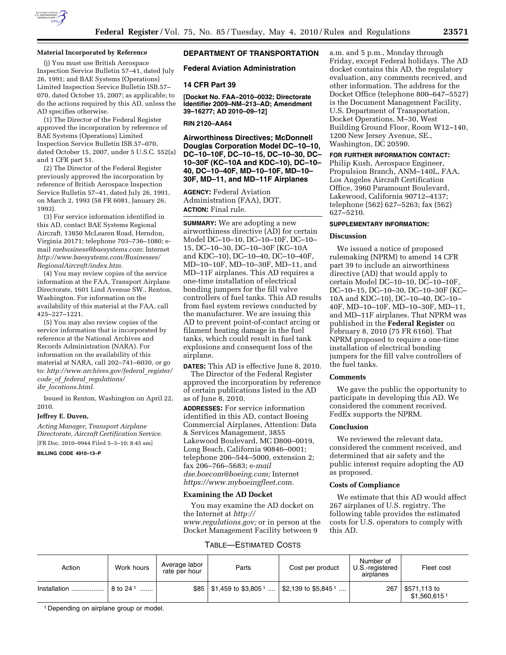

### **Material Incorporated by Reference**

(j) You must use British Aerospace Inspection Service Bulletin 57–41, dated July 26, 1991; and BAE Systems (Operations) Limited Inspection Service Bulletin ISB.57– 070, dated October 15, 2007; as applicable; to do the actions required by this AD, unless the AD specifies otherwise.

(1) The Director of the Federal Register approved the incorporation by reference of BAE Systems (Operations) Limited Inspection Service Bulletin ISB.57–070, dated October 15, 2007, under 5 U.S.C. 552(a) and 1 CFR part 51.

(2) The Director of the Federal Register previously approved the incorporation by reference of British Aerospace Inspection Service Bulletin 57–41, dated July 26, 1991, on March 2, 1993 (58 FR 6081, January 26, 1993).

(3) For service information identified in this AD, contact BAE Systems Regional Aircraft, 13850 McLearen Road, Herndon, Virginia 20171; telephone 703–736–1080; email *raebusiness@baesystems.com*; Internet *http://www.baesystems.com/Businesses/ RegionalAircraft/index.htm.* 

(4) You may review copies of the service information at the FAA, Transport Airplane Directorate, 1601 Lind Avenue SW., Renton, Washington. For information on the availability of this material at the FAA, call 425–227–1221.

(5) You may also review copies of the service information that is incorporated by reference at the National Archives and Records Administration (NARA). For information on the availability of this material at NARA, call 202–741–6030, or go to: *http://www.archives.gov/federal*\_*register/ code*\_*of*\_*federal*\_*regulations/ ibr*\_*locations.html.* 

Issued in Renton, Washington on April 22, 2010.

#### **Jeffrey E. Duven,**

*Acting Manager, Transport Airplane Directorate, Aircraft Certification Service.*  [FR Doc. 2010–9944 Filed 5–3–10; 8:45 am]

**BILLING CODE 4910–13–P** 

# **DEPARTMENT OF TRANSPORTATION**

**Federal Aviation Administration** 

#### **14 CFR Part 39**

**[Docket No. FAA–2010–0032; Directorate Identifier 2009–NM–213–AD; Amendment 39–16277; AD 2010–09–12]** 

### **RIN 2120–AA64**

**Airworthiness Directives; McDonnell Douglas Corporation Model DC–10–10, DC–10–10F, DC–10–15, DC–10–30, DC– 10–30F (KC–10A and KDC–10), DC–10– 40, DC–10–40F, MD–10–10F, MD–10– 30F, MD–11, and MD–11F Airplanes** 

**AGENCY:** Federal Aviation Administration (FAA), DOT. **ACTION:** Final rule.

**SUMMARY:** We are adopting a new airworthiness directive (AD) for certain Model DC–10–10, DC–10–10F, DC–10– 15, DC–10–30, DC–10–30F (KC–10A and KDC–10), DC–10–40, DC–10–40F, MD–10–10F, MD–10–30F, MD–11, and MD–11F airplanes. This AD requires a one-time installation of electrical bonding jumpers for the fill valve controllers of fuel tanks. This AD results from fuel system reviews conducted by the manufacturer. We are issuing this AD to prevent point-of-contact arcing or filament heating damage in the fuel tanks, which could result in fuel tank explosions and consequent loss of the airplane.

**DATES:** This AD is effective June 8, 2010. The Director of the Federal Register approved the incorporation by reference of certain publications listed in the AD as of June 8, 2010.

**ADDRESSES:** For service information identified in this AD, contact Boeing Commercial Airplanes, Attention: Data & Services Management, 3855 Lakewood Boulevard, MC D800–0019, Long Beach, California 90846–0001; telephone 206–544–5000, extension 2; fax 206–766–5683; e-*mail dse.boecom@boeing.com;* Internet *https://www.myboeingfleet.com.* 

#### **Examining the AD Docket**

You may examine the AD docket on the Internet at *http:// www.regulations.gov;* or in person at the Docket Management Facility between 9

### TABLE—ESTIMATED COSTS

| Action       | Work hours           | Average labor<br>rate per hour | Parts                                   | Cost per product                | Number of<br>U.S.-registered<br>airplanes | Fleet cost                                |
|--------------|----------------------|--------------------------------|-----------------------------------------|---------------------------------|-------------------------------------------|-------------------------------------------|
| Installation | 8 to 24 <sup>1</sup> | \$85                           | $\vert$ \$1,459 to \$3,805 <sup>1</sup> | \$2,139 to \$5,845 <sup>1</sup> | 267                                       | \$571,113 to<br>$$1,560,615$ <sup>1</sup> |

a.m. and 5 p.m., Monday through Friday, except Federal holidays. The AD docket contains this AD, the regulatory evaluation, any comments received, and other information. The address for the Docket Office (telephone 800–647–5527) is the Document Management Facility, U.S. Department of Transportation, Docket Operations, M–30, West Building Ground Floor, Room W12–140, 1200 New Jersey Avenue, SE., Washington, DC 20590.

## **FOR FURTHER INFORMATION CONTACT:**

Philip Kush, Aerospace Engineer, Propulsion Branch, ANM–140L, FAA, Los Angeles Aircraft Certification Office, 3960 Paramount Boulevard, Lakewood, California 90712–4137; telephone (562) 627–5263; fax (562) 627–5210.

## **SUPPLEMENTARY INFORMATION:**

### **Discussion**

We issued a notice of proposed rulemaking (NPRM) to amend 14 CFR part 39 to include an airworthiness directive (AD) that would apply to certain Model DC–10–10, DC–10–10F, DC–10–15, DC–10–30, DC–10–30F (KC– 10A and KDC–10), DC–10–40, DC–10– 40F, MD–10–10F, MD–10–30F, MD–11, and MD–11F airplanes. That NPRM was published in the **Federal Register** on February 8, 2010 (75 FR 6160). That NPRM proposed to require a one-time installation of electrical bonding jumpers for the fill valve controllers of the fuel tanks.

### **Comments**

We gave the public the opportunity to participate in developing this AD. We considered the comment received. FedEx supports the NPRM.

## **Conclusion**

We reviewed the relevant data. considered the comment received, and determined that air safety and the public interest require adopting the AD as proposed.

#### **Costs of Compliance**

We estimate that this AD would affect 267 airplanes of U.S. registry. The following table provides the estimated costs for U.S. operators to comply with this AD.